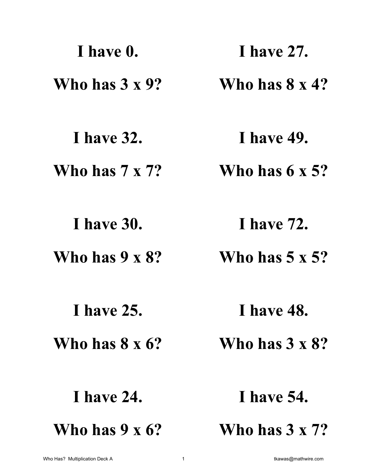| I have 0.              | <b>1 have 27.</b>      |
|------------------------|------------------------|
| Who has $3 \times 9$ ? | Who has $8 \times 4?$  |
| <b>I</b> have 32.      | <b>I</b> have 49.      |
| Who has $7 \times 7$ ? | Who has $6 \times 5$ ? |
| <b>I</b> have 30.      | <b>I</b> have 72.      |
| Who has $9 \times 8$ ? | Who has $5 \times 5$ ? |
| <b>I</b> have 25.      | <b>I</b> have 48.      |
| Who has $8 \times 6$ ? | Who has $3 \times 8$ ? |
| <b>I</b> have 24.      | <b>I</b> have 54.      |
| Who has $9 \times 6$ ? | Who has $3 \times 7$ ? |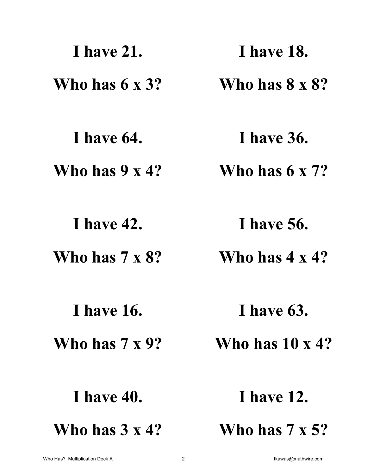| <b>I</b> have 21.      | <b>I</b> have 18.       |
|------------------------|-------------------------|
| Who has $6 \times 3$ ? | Who has $8 \times 8$ ?  |
| I have 64.             | <b>I</b> have 36.       |
| Who has $9 \times 4?$  | Who has $6 \times 7$ ?  |
| <b>I</b> have 42.      | I have 56.              |
| Who has $7 \times 8$ ? | Who has $4 \times 4?$   |
| <b>I</b> have 16.      | I have 63.              |
| Who has $7 \times 9$ ? | Who has $10 \times 4$ ? |
| <b>I</b> have 40.      | <b>I</b> have 12.       |
| Who has $3 \times 4$ ? | Who has $7 \times 5$ ?  |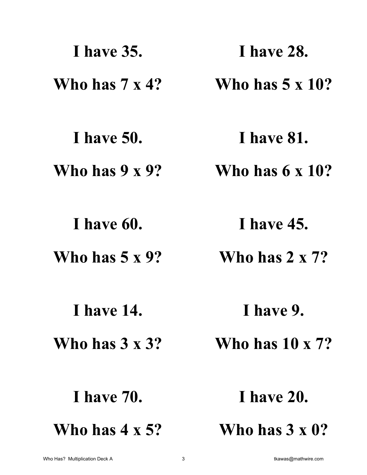| <b>I</b> have 35.      | <b>I</b> have 28.       |
|------------------------|-------------------------|
| Who has $7 \times 4$ ? | Who has $5 \times 10$ ? |
| <b>I</b> have 50.      | <b>I</b> have 81.       |
| Who has $9 \times 9$ ? | Who has $6 \times 10$ ? |
| I have 60.             | <b>I</b> have 45.       |
| Who has $5 \times 9$ ? | Who has $2 \times 7$ ?  |
| <b>I</b> have 14.      | I have 9.               |
| Who has $3 \times 3$ ? | Who has $10 \times 7$ ? |
| <b>I</b> have 70.      | <b>I</b> have 20.       |
| Who has $4 \times 5$ ? | Who has $3 \times 0?$   |